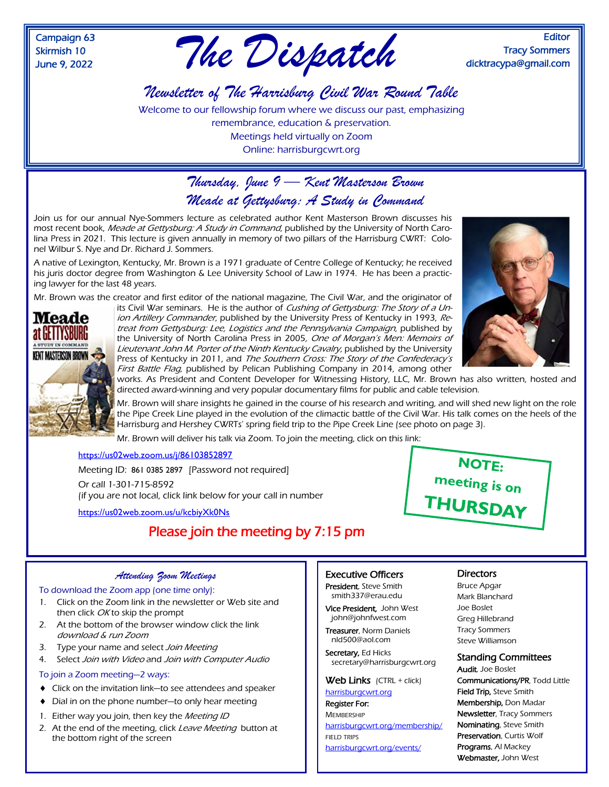Campaign 63 Skirmish 10



**Editor** Tracy Sommers dicktracypa@gmail.com

# *Newsletter of The Harrisburg Civil War Round Table*

Welcome to our fellowship forum where we discuss our past, emphasizing remembrance, education & preservation. Meetings held virtually on Zoom Online: harrisburgcwrt.org

## *Thursday, June 9 — Kent Masterson Brown Meade at Gettysburg: A Study in Command*

Join us for our annual Nye-Sommers lecture as celebrated author Kent Masterson Brown discusses his most recent book, Meade at Gettysburg: A Study in Command, published by the University of North Carolina Press in 2021. This lecture is given annually in memory of two pillars of the Harrisburg CWRT: Colonel Wilbur S. Nye and Dr. Richard J. Sommers.

A native of Lexington, Kentucky, Mr. Brown is a 1971 graduate of Centre College of Kentucky; he received his juris doctor degree from Washington & Lee University School of Law in 1974. He has been a practicing lawyer for the last 48 years.

Mr. Brown was the creator and first editor of the national magazine, The Civil War, and the originator of



its Civil War seminars. He is the author of Cushing of Gettysburg: The Story of a Union Artillery Commander, published by the University Press of Kentucky in 1993, Retreat from Gettysburg: Lee, Logistics and the Pennsylvania Campaign, published by the University of North Carolina Press in 2005, One of Morgan's Men: Memoirs of Lieutenant John M. Porter of the Ninth Kentucky Cavalry, published by the University Press of Kentucky in 2011, and The Southern Cross: The Story of the Confederacy's First Battle Flag, published by Pelican Publishing Company in 2014, among other



works. As President and Content Developer for Witnessing History, LLC, Mr. Brown has also written, hosted and directed award-winning and very popular documentary films for public and cable television.

Mr. Brown will share insights he gained in the course of his research and writing, and will shed new light on the role the Pipe Creek Line played in the evolution of the climactic battle of the Civil War. His talk comes on the heels of the Harrisburg and Hershey CWRTs' spring field trip to the Pipe Creek Line (see photo on page 3).

Mr. Brown will deliver his talk via Zoom. To join the meeting, click on this link:

#### <https://us02web.zoom.us/j/86103852897>

Meeting ID: 861 0385 2897 [Password not required] Or call 1-301-715-8592 (if you are not local, click link below for your call in number

<https://us02web.zoom.us/u/kcbiyXk0Ns>

### Please join the meeting by 7:15 pm



#### *Attending Zoom Meetings*

To download the Zoom app (one time only):

- 1. Click on the Zoom link in the newsletter or Web site and then click OK to skip the prompt
- 2. At the bottom of the browser window click the link download & run Zoom
- 3. Type your name and select Join Meeting
- 4. Select Join with Video and Join with Computer Audio

#### To join a Zoom meeting—2 ways:

- Click on the invitation link—to see attendees and speaker
- ◆ Dial in on the phone number—to only hear meeting
- 1. Either way you join, then key the Meeting ID
- 2. At the end of the meeting, click Leave Meeting button at the bottom right of the screen

#### Executive Officers

President, Steve Smith smith337@erau.edu

Vice President, John West john@johnfwest.com

Treasurer, Norm Daniels nld500@aol.com

Secretary, Ed Hicks secretary@harrisburgcwrt.org

#### Web Links (CTRL + click)

[harrisburgcwrt.org](http://www.harrisburgcwrt.org/) Register For:

**MEMBERSHIP** [harrisburgcwrt.org/membership/](https://harrisburgcwrt.org/membership/) FIELD TRIPS [harrisburgcwrt.org/events/](https://harrisburgcwrt.org/events/)

### **Directors**

Bruce Apgar Mark Blanchard Joe Boslet Greg Hillebrand Tracy Sommers Steve Williamson

### Standing Committees

Audit, Joe Boslet Communications/PR, Todd Little Field Trip, Steve Smith Membership, Don Madar Newsletter, Tracy Sommers Nominating, Steve Smith Preservation, Curtis Wolf Programs, Al Mackey Webmaster, John West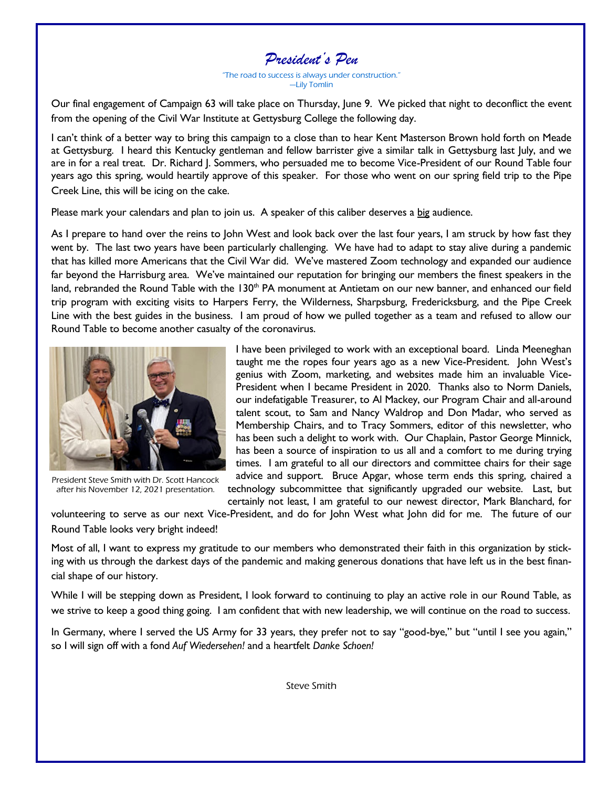

"The road to success is always under construction." —Lily Tomlin

Our final engagement of Campaign 63 will take place on Thursday, June 9. We picked that night to deconflict the event from the opening of the Civil War Institute at Gettysburg College the following day.

I can't think of a better way to bring this campaign to a close than to hear Kent Masterson Brown hold forth on Meade at Gettysburg. I heard this Kentucky gentleman and fellow barrister give a similar talk in Gettysburg last July, and we are in for a real treat. Dr. Richard J. Sommers, who persuaded me to become Vice-President of our Round Table four years ago this spring, would heartily approve of this speaker. For those who went on our spring field trip to the Pipe Creek Line, this will be icing on the cake.

Please mark your calendars and plan to join us. A speaker of this caliber deserves a big audience.

As I prepare to hand over the reins to John West and look back over the last four years, I am struck by how fast they went by. The last two years have been particularly challenging. We have had to adapt to stay alive during a pandemic that has killed more Americans that the Civil War did. We've mastered Zoom technology and expanded our audience far beyond the Harrisburg area. We've maintained our reputation for bringing our members the finest speakers in the land, rebranded the Round Table with the  $130<sup>th</sup> PA$  monument at Antietam on our new banner, and enhanced our field trip program with exciting visits to Harpers Ferry, the Wilderness, Sharpsburg, Fredericksburg, and the Pipe Creek Line with the best guides in the business. I am proud of how we pulled together as a team and refused to allow our Round Table to become another casualty of the coronavirus.



President Steve Smith with Dr. Scott Hancock after his November 12, 2021 presentation.

I have been privileged to work with an exceptional board. Linda Meeneghan taught me the ropes four years ago as a new Vice-President. John West's genius with Zoom, marketing, and websites made him an invaluable Vice-President when I became President in 2020. Thanks also to Norm Daniels, our indefatigable Treasurer, to Al Mackey, our Program Chair and all-around talent scout, to Sam and Nancy Waldrop and Don Madar, who served as Membership Chairs, and to Tracy Sommers, editor of this newsletter, who has been such a delight to work with. Our Chaplain, Pastor George Minnick, has been a source of inspiration to us all and a comfort to me during trying times. I am grateful to all our directors and committee chairs for their sage advice and support. Bruce Apgar, whose term ends this spring, chaired a

technology subcommittee that significantly upgraded our website. Last, but certainly not least, I am grateful to our newest director, Mark Blanchard, for

volunteering to serve as our next Vice-President, and do for John West what John did for me. The future of our Round Table looks very bright indeed!

Most of all, I want to express my gratitude to our members who demonstrated their faith in this organization by sticking with us through the darkest days of the pandemic and making generous donations that have left us in the best financial shape of our history.

While I will be stepping down as President, I look forward to continuing to play an active role in our Round Table, as we strive to keep a good thing going. I am confident that with new leadership, we will continue on the road to success.

In Germany, where I served the US Army for 33 years, they prefer not to say "good-bye," but "until I see you again," so I will sign off with a fond *Auf Wiedersehen!* and a heartfelt *Danke Schoen!*

Steve Smith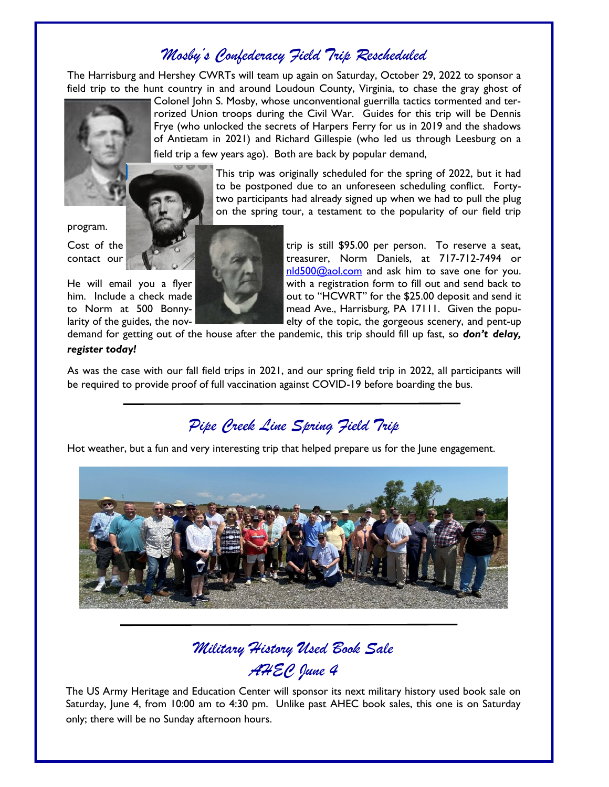# *Mosby's Confederacy Field Trip Rescheduled*

The Harrisburg and Hershey CWRTs will team up again on Saturday, October 29, 2022 to sponsor a field trip to the hunt country in and around Loudoun County, Virginia, to chase the gray ghost of

Colonel John S. Mosby, whose unconventional guerrilla tactics tormented and terrorized Union troops during the Civil War. Guides for this trip will be Dennis Frye (who unlocked the secrets of Harpers Ferry for us in 2019 and the shadows of Antietam in 2021) and Richard Gillespie (who led us through Leesburg on a field trip a few years ago). Both are back by popular demand,

> This trip was originally scheduled for the spring of 2022, but it had to be postponed due to an unforeseen scheduling conflict. Fortytwo participants had already signed up when we had to pull the plug on the spring tour, a testament to the popularity of our field trip

### program.



Cost of the trip is still \$95.00 per person. To reserve a seat, contact our **tract our tract of the state of the state of treasurer**, Norm Daniels, at 717-712-7494 or [nld500@aol.com](mailto:nld500@aol.com) and ask him to save one for you. He will email you a flyer with a registration form to fill out and send back to him. Include a check made **the state of the senate out to "HCWRT**" for the \$25.00 deposit and send it to Norm at 500 Bonny- mead Ave., Harrisburg, PA 17111. Given the popularity of the guides, the nov- $\blacksquare$  elty of the topic, the gorgeous scenery, and pent-up

demand for getting out of the house after the pandemic, this trip should fill up fast, so *don't delay, register today!*

As was the case with our fall field trips in 2021, and our spring field trip in 2022, all participants will be required to provide proof of full vaccination against COVID-19 before boarding the bus.

*Pipe Creek Line Spring Field Trip*

Hot weather, but a fun and very interesting trip that helped prepare us for the June engagement.



# *Military History Used Book Sale AHEC June 4*

The US Army Heritage and Education Center will sponsor its next military history used book sale on Saturday, June 4, from 10:00 am to 4:30 pm. Unlike past AHEC book sales, this one is on Saturday only; there will be no Sunday afternoon hours.